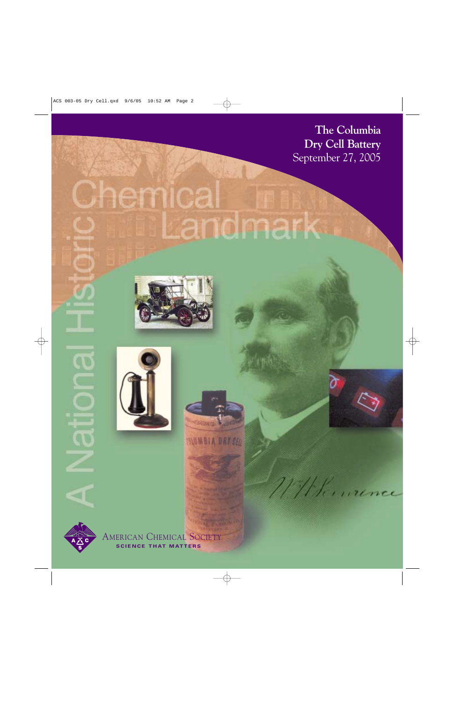**The Columbia Dry Cell Battery** September 27, 2005

WHK ... rence

# <u>Chemical</u> Landmark







**INUMBIA DRY CELL** 



AMERICAN CHEMICAL SOCIETY **SCIENCE THAT MATTERS**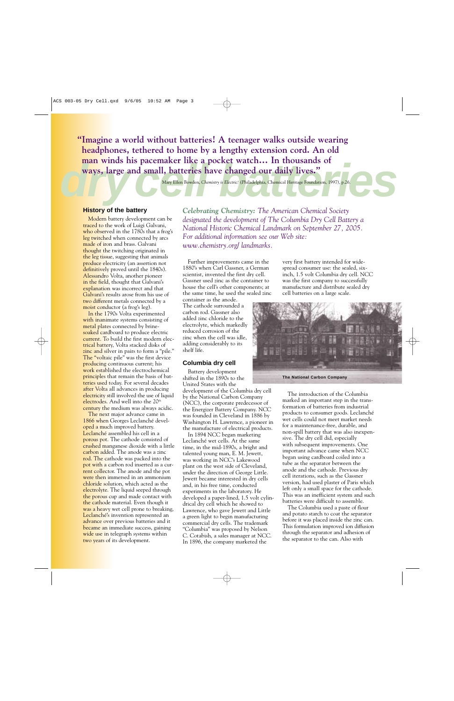man winds his pacemaker like a pocket watch... In thousands of<br>ways, large and small, batteries have changed our daily lives."<br>Mary Ellen Bowden, Chemistry is Electric! (Philadelphia, Chemical Heritage Foundation, 1997), p **"Imagine a world without batteries! A teenager walks outside wearing headphones, tethered to home by a lengthy extension cord. An old man winds his pacemaker like a pocket watch… In thousands of ways, large and small, batteries have changed our daily lives."**

Mary Ellen Bowden, *Chemistry is Electric!* (Philadelphia, Chemical Heritage Foundation, 1997), p.26.

# **History of the battery**

Modern battery development can be traced to the work of Luigi Galvani, who observed in the 1780s that a frog's leg twitched when connected by arcs made of iron and brass. Galvani thought the twitching originated in the leg tissue, suggesting that animals produce electricity (an assertion not definitively proved until the 1840s). Alessandro Volta, another pioneer in the field, thought that Galvani's explanation was incorrect and that Galvani's results arose from his use of two different metals connected by a moist conductor (a frog's leg).

In the 1790s Volta experimented with inanimate systems consisting of metal plates connected by brinesoaked cardboard to produce electric current. To build the first modern electrical battery, Volta stacked disks of zinc and silver in pairs to form a "pile." The "voltaic pile" was the first device producing continuous current; his work established the electrochemical principles that remain the basis of batteries used today. For several decades after Volta all advances in producing electricity still involved the use of liquid electrodes. And well into the 20<sup>th</sup> century the medium was always acidic.

The next major advance came in 1866 when Georges Leclanché developed a much improved battery. Leclanché assembled his cell in a porous pot. The cathode consisted of crushed manganese dioxide with a little carbon added. The anode was a zinc rod. The cathode was packed into the pot with a carbon rod inserted as a current collector. The anode and the pot were then immersed in an ammonium chloride solution, which acted as the electrolyte. The liquid seeped through the porous cup and made contact with the cathode material. Even though it was a heavy wet cell prone to breaking, Leclanché's invention represented an advance over previous batteries and it became an immediate success, gaining wide use in telegraph systems within two years of its development.

*Celebrating Chemistry: The American Chemical Society designated the development of The Columbia Dry Cell Battery a National Historic Chemical Landmark on September 27, 2005. For additional information see our Web site: www.chemistry.org/ landmarks.*

Further improvements came in the 1880's when Carl Gassner, a German scientist, invented the first dry cell. Gassner used zinc as the container to house the cell's other components; at the same time, he used the sealed zinc container as the anode.

The cathode surrounded a carbon rod. Gassner also added zinc chloride to the electrolyte, which markedly reduced corrosion of the zinc when the cell was idle, adding considerably to its shelf life.

# **Columbia dry cell**

Battery development shifted in the 1890s to the United States with the development of the Columbia dry cell by the National Carbon Company (NCC), the corporate predecessor of the Energizer Battery Company. NCC was founded in Cleveland in 1886 by Washington H. Lawrence, a pioneer in the manufacture of electrical products.

In 1894 NCC began marketing Leclanché wet cells. At the same time, in the mid-1890s, a bright and talented young man, E. M. Jewett, was working in NCC's Lakewood plant on the west side of Cleveland, under the direction of George Little. Jewett became interested in dry cells and, in his free time, conducted experiments in the laboratory. He developed a paper-lined, 1.5 volt cylindrical dry cell which he showed to Lawrence, who gave Jewett and Little a green light to begin manufacturing commercial dry cells. The trademark "Columbia" was proposed by Nelson C. Cotabish, a sales manager at NCC. In 1896, the company marketed the

very first battery intended for widespread consumer use: the sealed, sixinch, 1.5 volt Columbia dry cell. NCC was the first company to successfully manufacture and distribute sealed dry cell batteries on a large scale.



**The National Carbon Company**

The introduction of the Columbia marked an important step in the transformation of batteries from industrial products to consumer goods. Leclanché wet cells could not meet market needs for a maintenance-free, durable, and non-spill battery that was also inexpensive. The dry cell did, especially with subsequent improvements. One important advance came when NCC began using cardboard coiled into a tube as the separator between the anode and the cathode. Previous dry cell iterations, such as the Gassner version, had used plaster of Paris which left only a small space for the cathode. This was an inefficient system and such batteries were difficult to assemble.

The Columbia used a paste of flour and potato starch to coat the separator before it was placed inside the zinc can. This formulation improved ion diffusion through the separator and adhesion of the separator to the can. Also with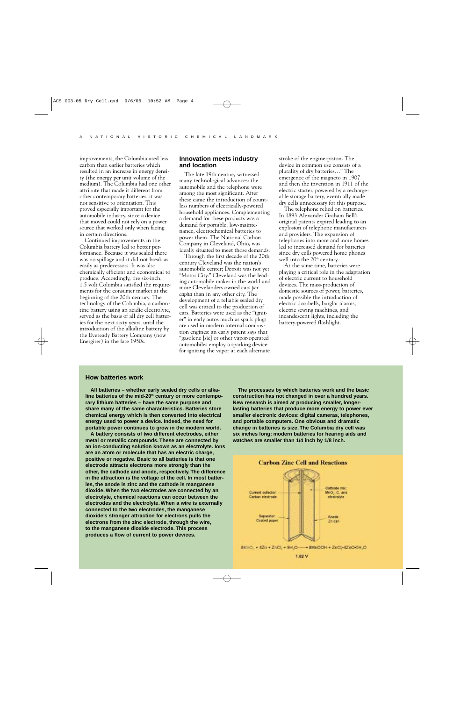improvements, the Columbia used less carbon than earlier batteries which resulted in an increase in energy density (the energy per unit volume of the medium). The Columbia had one other attribute that made it different from other contemporary batteries: it was not sensitive to orientation. This proved especially important for the automobile industry, since a device that moved could not rely on a power source that worked only when facing in certain directions.

Continued improvements in the Columbia battery led to better performance. Because it was sealed there was no spillage and it did not break as easily as predecessors. It was also chemically efficient and economical to produce. Accordingly, the six-inch, 1.5 volt Columbia satisfied the requirements for the consumer market at the beginning of the 20th century. The technology of the Columbia, a carbonzinc battery using an acidic electrolyte, served as the basis of all dry cell batteries for the next sixty years, until the introduction of the alkaline battery by the Eveready Battery Company (now Energizer) in the late 1950s.

# **Innovation meets industry and location**

The late 19th century witnessed many technological advances: the automobile and the telephone were among the most significant. After these came the introduction of countless numbers of electrically-powered household appliances. Complementing a demand for these products was a demand for portable, low-maintenance, electrochemical batteries to power them. The National Carbon Company in Cleveland, Ohio, was ideally situated to meet those demands.

Through the first decade of the 20th century Cleveland was the nation's automobile center; Detroit was not yet "Motor City." Cleveland was the leading automobile maker in the world and more Clevelanders owned cars *per capita* than in any other city. The development of a reliable sealed dry cell was critical to the production of cars. Batteries were used as the "igniter" in early autos much as spark plugs are used in modern internal combustion engines: an early patent says that "gasolene [sic] or other vapor-operated automobiles employ a sparking device for igniting the vapor at each alternate

stroke of the engine-piston. The device in common use consists of a plurality of dry batteries…" The emergence of the magneto in 1907 and then the invention in 1911 of the electric starter, powered by a rechargeable storage battery, eventually made dry cells unnecessary for this purpose.

The telephone relied on batteries. In 1893 Alexander Graham Bell's original patents expired leading to an explosion of telephone manufacturers and providers. The expansion of telephones into more and more homes led to increased demand for batteries since dry cells powered home phones well into the  $20<sup>th</sup>$  century.

At the same time, batteries were playing a critical role in the adaptation of electric current to household devices. The mass-production of domestic sources of power, batteries, made possible the introduction of electric doorbells, burglar alarms, electric sewing machines, and incandescent lights, including the battery-powered flashlight.

### **How batteries work**

**All batteries – whether early sealed dry cells or alka**line batteries of the mid-20<sup>th</sup> century or more contempo**rary lithium batteries – have the same purpose and share many of the same characteristics. Batteries store chemical energy which is then converted into electrical energy used to power a device. Indeed, the need for portable power continues to grow in the modern world.**

**A battery consists of two different electrodes, either metal or metallic compounds. These are connected by an ion-conducting solution known as an electrolyte. Ions are an atom or molecule that has an electric charge, positive or negative. Basic to all batteries is that one electrode attracts electrons more strongly than the other, the cathode and anode, respectively. The difference in the attraction is the voltage of the cell. In most batteries, the anode is zinc and the cathode is manganese dioxide. When the two electrodes are connected by an electrolyte, chemical reactions can occur between the electrodes and the electrolyte. When a wire is externally connected to the two electrodes, the manganese dioxide's stronger attraction for electrons pulls the electrons from the zinc electrode, through the wire, to the manganese dioxide electrode. This process produces a flow of current to power devices.**

**The processes by which batteries work and the basic construction has not changed in over a hundred years. New research is aimed at producing smaller, longerlasting batteries that produce more energy to power ever smaller electronic devices: digital cameras, telephones, and portable computers. One obvious and dramatic change in batteries is size. The Columbia dry cell was six inches long; modern batteries for hearing aids and watches are smaller than 1/4 inch by 1/8 inch.**

**Carbon Zinc Cell and Reactions**